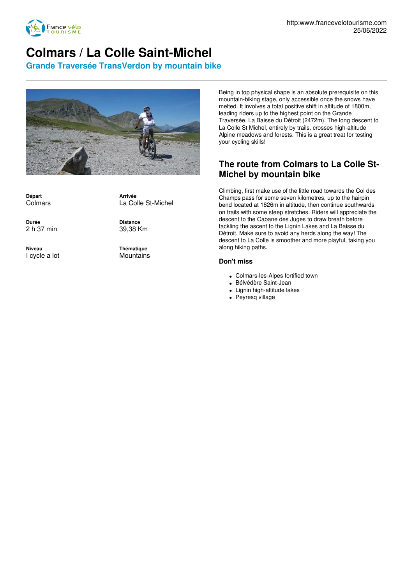

## **Colmars / La Colle Saint-Michel**

**Grande Traversée TransVerdon by mountain bike**



**Départ** Colmars

**Arrivée** La Colle St-Michel

**Durée** 2 h 37 min

**Niveau** I cycle a lot **Distance** 39,38 Km

**Thématique Mountains**  Being in top physical shape is an absolute prerequisite on this mountain-biking stage, only accessible once the snows have melted. It involves a total positive shift in altitude of 1800m, leading riders up to the highest point on the Grande Traversée, La Baisse du Détroit (2472m). The long descent to La Colle St Michel, entirely by trails, crosses high-altitude Alpine meadows and forests. This is a great treat for testing your cycling skills!

## **The route from Colmars to La Colle St-Michel by mountain bike**

Climbing, first make use of the little road towards the Col des Champs pass for some seven kilometres, up to the hairpin bend located at 1826m in altitude, then continue southwards on trails with some steep stretches. Riders will appreciate the descent to the Cabane des Juges to draw breath before tackling the ascent to the Lignin Lakes and La Baisse du Détroit. Make sure to avoid any herds along the way! The descent to La Colle is smoother and more playful, taking you along hiking paths.

## **Don't miss**

- Colmars-les-Alpes fortified town
- Bélvédère Saint-Jean
- Lignin high-altitude lakes
- Peyresq village